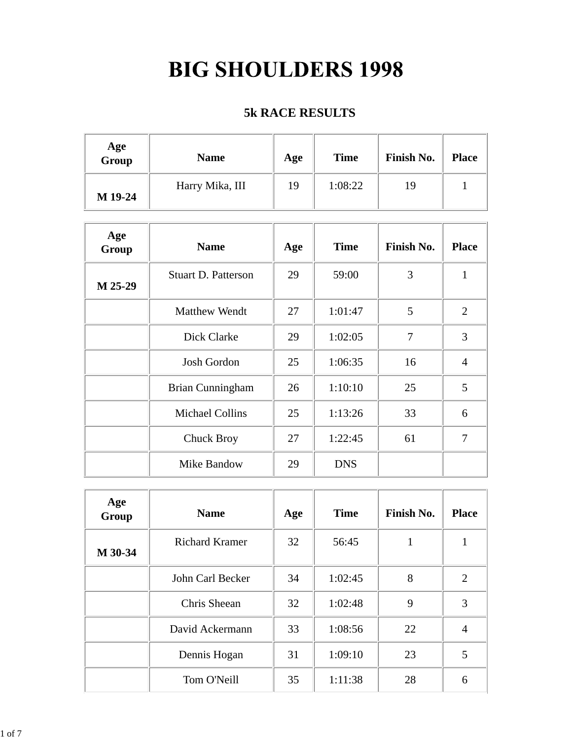## **BIG SHOULDERS 1998**

## **5k RACE RESULTS**

| Age<br>Group | <b>Name</b>     | Age | <b>Time</b> | Finish No. | <b>Place</b> |
|--------------|-----------------|-----|-------------|------------|--------------|
| M 19-24      | Harry Mika, III | 19  | 1:08:22     | 19         |              |

| Age<br>Group | <b>Name</b>                | Age | <b>Time</b> | <b>Finish No.</b> | <b>Place</b>   |
|--------------|----------------------------|-----|-------------|-------------------|----------------|
| M 25-29      | <b>Stuart D. Patterson</b> | 29  | 59:00       | 3                 | 1              |
|              | <b>Matthew Wendt</b>       | 27  | 1:01:47     | 5                 | $\overline{2}$ |
|              | Dick Clarke                | 29  | 1:02:05     | 7                 | 3              |
|              | <b>Josh Gordon</b>         | 25  | 1:06:35     | 16                | $\overline{A}$ |
|              | Brian Cunningham           | 26  | 1:10:10     | 25                | 5              |
|              | <b>Michael Collins</b>     | 25  | 1:13:26     | 33                | 6              |
|              | <b>Chuck Broy</b>          | 27  | 1:22:45     | 61                | 7              |
|              | Mike Bandow                | 29  | <b>DNS</b>  |                   |                |

| Age<br>Group | <b>Name</b>           | Age | <b>Time</b> | Finish No. | <b>Place</b>   |
|--------------|-----------------------|-----|-------------|------------|----------------|
| M 30-34      | <b>Richard Kramer</b> | 32  | 56:45       |            |                |
|              | John Carl Becker      | 34  | 1:02:45     | 8          | $\overline{2}$ |
|              | Chris Sheean          | 32  | 1:02:48     | 9          | 3              |
|              | David Ackermann       | 33  | 1:08:56     | 22         | 4              |
|              | Dennis Hogan          | 31  | 1:09:10     | 23         | 5              |
|              | Tom O'Neill           | 35  | 1:11:38     | 28         | 6              |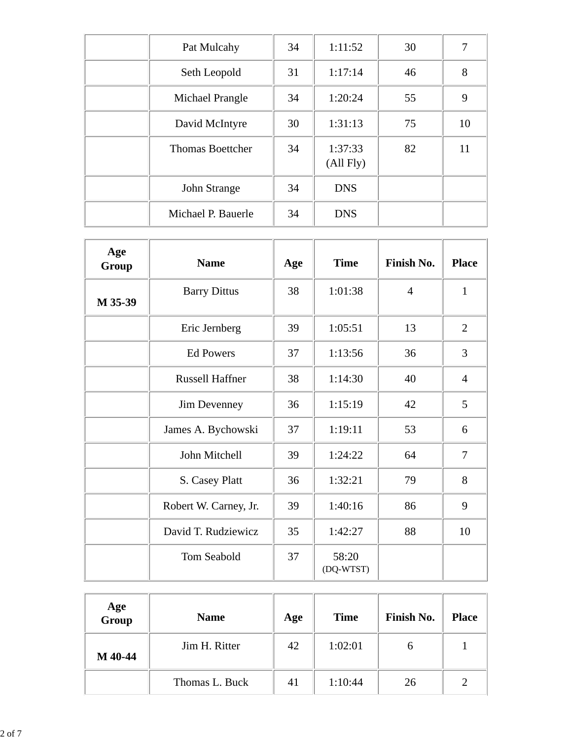| Pat Mulcahy             | 34 | 1:11:52              | 30 | 7  |
|-------------------------|----|----------------------|----|----|
| Seth Leopold            | 31 | 1:17:14              | 46 | 8  |
| Michael Prangle         | 34 | 1:20:24              | 55 | 9  |
| David McIntyre          | 30 | 1:31:13              | 75 | 10 |
| <b>Thomas Boettcher</b> | 34 | 1:37:33<br>(All Fly) | 82 | 11 |
| John Strange            | 34 | <b>DNS</b>           |    |    |
| Michael P. Bauerle      | 34 | <b>DNS</b>           |    |    |

| Age<br>Group | <b>Name</b>            | Age | <b>Time</b>        | Finish No.     | <b>Place</b>   |
|--------------|------------------------|-----|--------------------|----------------|----------------|
| M 35-39      | <b>Barry Dittus</b>    | 38  | 1:01:38            | $\overline{4}$ | $\mathbf{1}$   |
|              | Eric Jernberg          | 39  | 1:05:51            | 13             | $\overline{2}$ |
|              | <b>Ed Powers</b>       | 37  | 1:13:56            | 36             | 3              |
|              | <b>Russell Haffner</b> | 38  | 1:14:30            | 40             | $\overline{4}$ |
|              | Jim Devenney           | 36  | 1:15:19            | 42             | 5              |
|              | James A. Bychowski     | 37  | 1:19:11            | 53             | 6              |
|              | John Mitchell          | 39  | 1:24:22            | 64             | $\overline{7}$ |
|              | S. Casey Platt         | 36  | 1:32:21            | 79             | 8              |
|              | Robert W. Carney, Jr.  | 39  | 1:40:16            | 86             | 9              |
|              | David T. Rudziewicz    | 35  | 1:42:27            | 88             | 10             |
|              | Tom Seabold            | 37  | 58:20<br>(DQ-WTST) |                |                |

| Age<br>Group | <b>Name</b>    | Age | <b>Time</b> | Finish No. | <b>Place</b> |
|--------------|----------------|-----|-------------|------------|--------------|
| M 40-44      | Jim H. Ritter  | 42  | 1:02:01     | O          |              |
|              | Thomas L. Buck | 41  | 1:10:44     | 26         |              |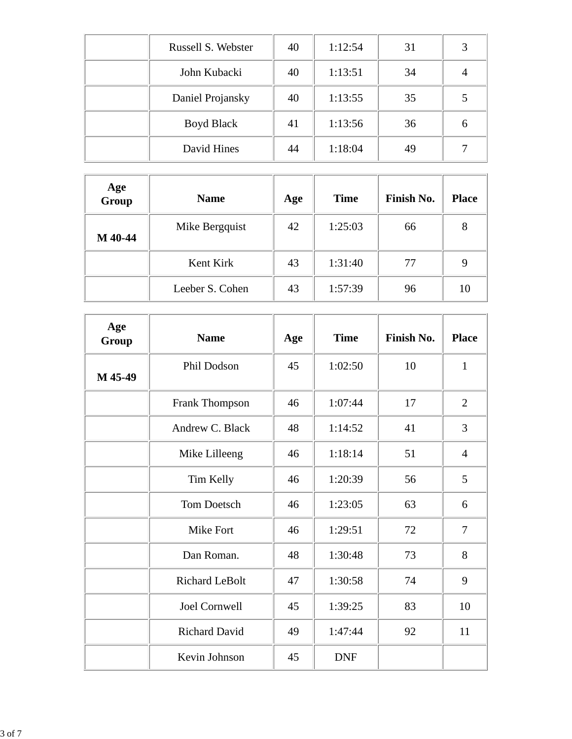| Russell S. Webster | 40 | 1:12:54 | 31 |   |
|--------------------|----|---------|----|---|
| John Kubacki       | 40 | 1:13:51 | 34 |   |
| Daniel Projansky   | 40 | 1:13:55 | 35 |   |
| Boyd Black         | 41 | 1:13:56 | 36 | 6 |
| David Hines        | 44 | 1:18:04 | 49 |   |

| Age<br>Group | <b>Name</b>     | Age | <b>Time</b> | Finish No. | <b>Place</b> |
|--------------|-----------------|-----|-------------|------------|--------------|
| M 40-44      | Mike Bergquist  | 42  | 1:25:03     | 66         | 8            |
|              | Kent Kirk       | 43  | 1:31:40     | 77         |              |
|              | Leeber S. Cohen | 43  | 1:57:39     | 96         | 10           |

| Age<br>Group | <b>Name</b>           | Age | <b>Time</b> | Finish No. | <b>Place</b>   |
|--------------|-----------------------|-----|-------------|------------|----------------|
| M 45-49      | Phil Dodson           | 45  | 1:02:50     | 10         | $\mathbf{1}$   |
|              | <b>Frank Thompson</b> | 46  | 1:07:44     | 17         | $\overline{2}$ |
|              | Andrew C. Black       | 48  | 1:14:52     | 41         | 3              |
|              | Mike Lilleeng         | 46  | 1:18:14     | 51         | $\overline{4}$ |
|              | Tim Kelly             | 46  | 1:20:39     | 56         | 5              |
|              | <b>Tom Doetsch</b>    | 46  | 1:23:05     | 63         | 6              |
|              | <b>Mike Fort</b>      | 46  | 1:29:51     | 72         | 7              |
|              | Dan Roman.            | 48  | 1:30:48     | 73         | 8              |
|              | <b>Richard LeBolt</b> | 47  | 1:30:58     | 74         | 9              |
|              | <b>Joel Cornwell</b>  | 45  | 1:39:25     | 83         | 10             |
|              | <b>Richard David</b>  | 49  | 1:47:44     | 92         | 11             |
|              | Kevin Johnson         | 45  | <b>DNF</b>  |            |                |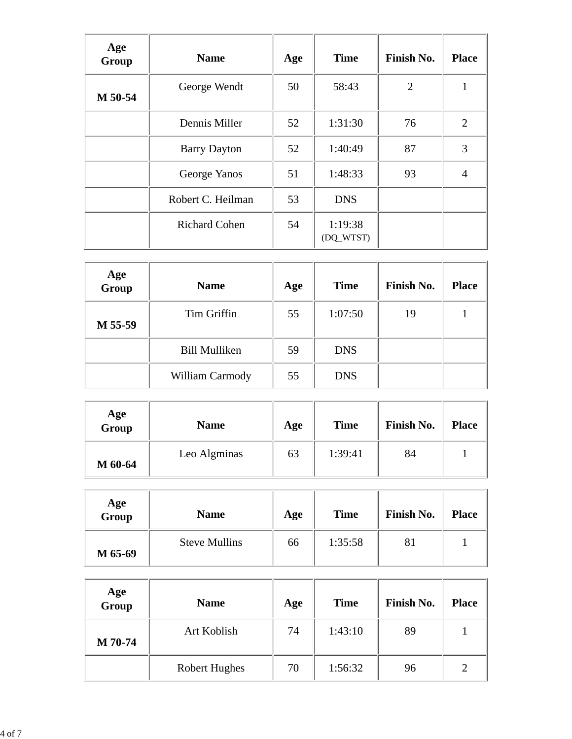| Age<br>Group | <b>Name</b>          | Age | <b>Time</b>          | Finish No.     | <b>Place</b>   |
|--------------|----------------------|-----|----------------------|----------------|----------------|
| M 50-54      | George Wendt         | 50  | 58:43                | $\overline{2}$ |                |
|              | Dennis Miller        | 52  | 1:31:30              | 76             | $\overline{2}$ |
|              | <b>Barry Dayton</b>  | 52  | 1:40:49              | 87             | 3              |
|              | George Yanos         | 51  | 1:48:33              | 93             | $\overline{4}$ |
|              | Robert C. Heilman    | 53  | <b>DNS</b>           |                |                |
|              | <b>Richard Cohen</b> | 54  | 1:19:38<br>(DQ_WTST) |                |                |

| Age<br>Group | <b>Name</b>          | Age | <b>Time</b> | Finish No. | <b>Place</b> |
|--------------|----------------------|-----|-------------|------------|--------------|
| M 55-59      | Tim Griffin          | 55  | 1:07:50     | 19         |              |
|              | <b>Bill Mulliken</b> | 59  | <b>DNS</b>  |            |              |
|              | William Carmody      | 55  | <b>DNS</b>  |            |              |

| Age<br>Group | <b>Name</b>  | Age | <b>Time</b> | Finish No. | <b>Place</b> |
|--------------|--------------|-----|-------------|------------|--------------|
| M 60-64      | Leo Algminas | 63  | 1:39:41     | 84         |              |

| Age<br>Group | <b>Name</b>          | Age | <b>Time</b> | <b>Finish No.</b> | <b>Place</b> |
|--------------|----------------------|-----|-------------|-------------------|--------------|
| M 65-69      | <b>Steve Mullins</b> | 66  | 1:35:58     | 81                |              |

| Age<br>Group | <b>Name</b>          | Age | <b>Time</b> | Finish No. | <b>Place</b> |
|--------------|----------------------|-----|-------------|------------|--------------|
| M 70-74      | Art Koblish          | 74  | 1:43:10     | 89         |              |
|              | <b>Robert Hughes</b> | 70  | 1:56:32     | 96         |              |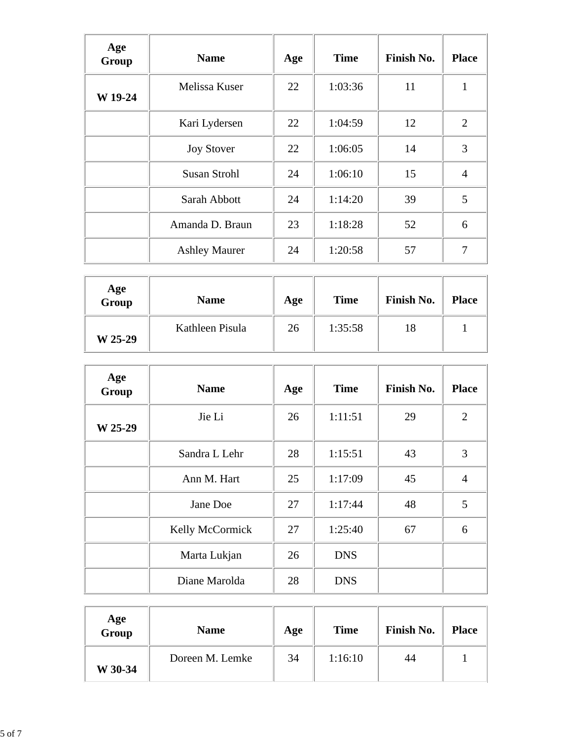| Age<br>Group | <b>Name</b>          | Age | <b>Time</b> | Finish No. | <b>Place</b>   |
|--------------|----------------------|-----|-------------|------------|----------------|
| W 19-24      | Melissa Kuser        | 22  | 1:03:36     | 11         | 1              |
|              | Kari Lydersen        | 22  | 1:04:59     | 12         | 2              |
|              | <b>Joy Stover</b>    | 22  | 1:06:05     | 14         | 3              |
|              | <b>Susan Strohl</b>  | 24  | 1:06:10     | 15         | $\overline{4}$ |
|              | Sarah Abbott         | 24  | 1:14:20     | 39         | 5              |
|              | Amanda D. Braun      | 23  | 1:18:28     | 52         | 6              |
|              | <b>Ashley Maurer</b> | 24  | 1:20:58     | 57         | 7              |

| Age<br>Group | <b>Name</b>     | Age | <b>Time</b> | Finish No. | <b>Place</b> |
|--------------|-----------------|-----|-------------|------------|--------------|
| W 25-29      | Kathleen Pisula | 26  | 1:35:58     | 18         |              |

| Age<br>Group | <b>Name</b>     | Age | <b>Time</b> | <b>Finish No.</b> | <b>Place</b>   |
|--------------|-----------------|-----|-------------|-------------------|----------------|
| W 25-29      | Jie Li          | 26  | 1:11:51     | 29                | $\overline{2}$ |
|              | Sandra L Lehr   | 28  | 1:15:51     | 43                | 3              |
|              | Ann M. Hart     | 25  | 1:17:09     | 45                | $\overline{4}$ |
|              | Jane Doe        | 27  | 1:17:44     | 48                | 5              |
|              | Kelly McCormick | 27  | 1:25:40     | 67                | 6              |
|              | Marta Lukjan    | 26  | <b>DNS</b>  |                   |                |
|              | Diane Marolda   | 28  | <b>DNS</b>  |                   |                |

| Age<br>Group | <b>Name</b>     | Age | <b>Time</b> | <b>Finish No.</b> | <b>Place</b> |
|--------------|-----------------|-----|-------------|-------------------|--------------|
| W 30-34      | Doreen M. Lemke | 34  | 1:16:10     | 44                |              |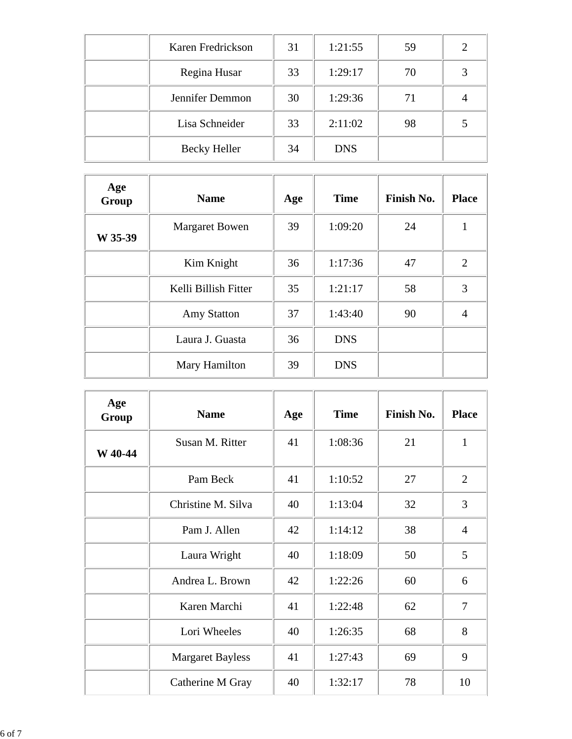| Karen Fredrickson   | 31 | 1:21:55    | 59 |  |
|---------------------|----|------------|----|--|
| Regina Husar        | 33 | 1:29:17    | 70 |  |
| Jennifer Demmon     | 30 | 1:29:36    | 71 |  |
| Lisa Schneider      | 33 | 2:11:02    | 98 |  |
| <b>Becky Heller</b> | 34 | <b>DNS</b> |    |  |

| Age<br>Group | <b>Name</b>           | Age | <b>Time</b> | Finish No. | <b>Place</b>   |
|--------------|-----------------------|-----|-------------|------------|----------------|
| W 35-39      | <b>Margaret Bowen</b> | 39  | 1:09:20     | 24         |                |
|              | Kim Knight            | 36  | 1:17:36     | 47         | $\overline{2}$ |
|              | Kelli Billish Fitter  | 35  | 1:21:17     | 58         | 3              |
|              | <b>Amy Statton</b>    | 37  | 1:43:40     | 90         | 4              |
|              | Laura J. Guasta       | 36  | <b>DNS</b>  |            |                |
|              | Mary Hamilton         | 39  | <b>DNS</b>  |            |                |

| Age<br>Group | <b>Name</b>             | Age | <b>Time</b> | Finish No. | <b>Place</b>   |
|--------------|-------------------------|-----|-------------|------------|----------------|
| W 40-44      | Susan M. Ritter         | 41  | 1:08:36     | 21         | 1              |
|              | Pam Beck                | 41  | 1:10:52     | 27         | $\overline{2}$ |
|              | Christine M. Silva      | 40  | 1:13:04     | 32         | 3              |
|              | Pam J. Allen            | 42  | 1:14:12     | 38         | $\overline{4}$ |
|              | Laura Wright            | 40  | 1:18:09     | 50         | 5              |
|              | Andrea L. Brown         | 42  | 1:22:26     | 60         | 6              |
|              | Karen Marchi            | 41  | 1:22:48     | 62         | 7              |
|              | Lori Wheeles            | 40  | 1:26:35     | 68         | 8              |
|              | <b>Margaret Bayless</b> | 41  | 1:27:43     | 69         | 9              |
|              | Catherine M Gray        | 40  | 1:32:17     | 78         | 10             |